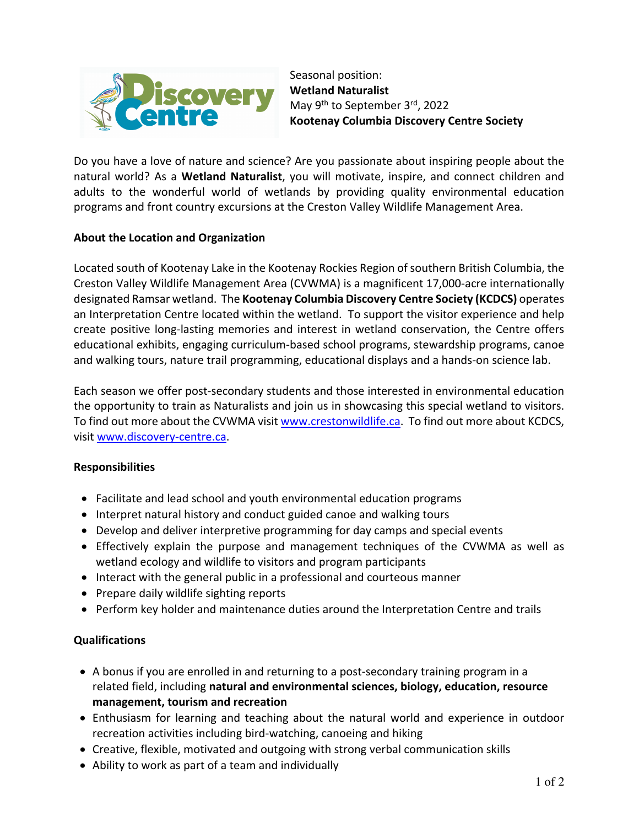

Seasonal position: **Wetland Naturalist** May 9<sup>th</sup> to September 3<sup>rd</sup>, 2022 **Kootenay Columbia Discovery Centre Society**

Do you have a love of nature and science? Are you passionate about inspiring people about the natural world? As a **Wetland Naturalist**, you will motivate, inspire, and connect children and adults to the wonderful world of wetlands by providing quality environmental education programs and front country excursions at the Creston Valley Wildlife Management Area.

# **About the Location and Organization**

Located south of Kootenay Lake in the Kootenay Rockies Region of southern British Columbia, the Creston Valley Wildlife Management Area (CVWMA) is a magnificent 17,000-acre internationally designated Ramsar wetland. The **Kootenay Columbia Discovery Centre Society (KCDCS)** operates an Interpretation Centre located within the wetland. To support the visitor experience and help create positive long-lasting memories and interest in wetland conservation, the Centre offers educational exhibits, engaging curriculum-based school programs, stewardship programs, canoe and walking tours, nature trail programming, educational displays and a hands-on science lab.

Each season we offer post-secondary students and those interested in environmental education the opportunity to train as Naturalists and join us in showcasing this special wetland to visitors. To find out more about the CVWMA visit www.crestonwildlife.ca. To find out more about KCDCS, visit www.discovery-centre.ca.

# **Responsibilities**

- Facilitate and lead school and youth environmental education programs
- Interpret natural history and conduct guided canoe and walking tours
- Develop and deliver interpretive programming for day camps and special events
- Effectively explain the purpose and management techniques of the CVWMA as well as wetland ecology and wildlife to visitors and program participants
- Interact with the general public in a professional and courteous manner
- Prepare daily wildlife sighting reports
- Perform key holder and maintenance duties around the Interpretation Centre and trails

# **Qualifications**

- A bonus if you are enrolled in and returning to a post-secondary training program in a related field, including **natural and environmental sciences, biology, education, resource management, tourism and recreation**
- Enthusiasm for learning and teaching about the natural world and experience in outdoor recreation activities including bird-watching, canoeing and hiking
- Creative, flexible, motivated and outgoing with strong verbal communication skills
- Ability to work as part of a team and individually